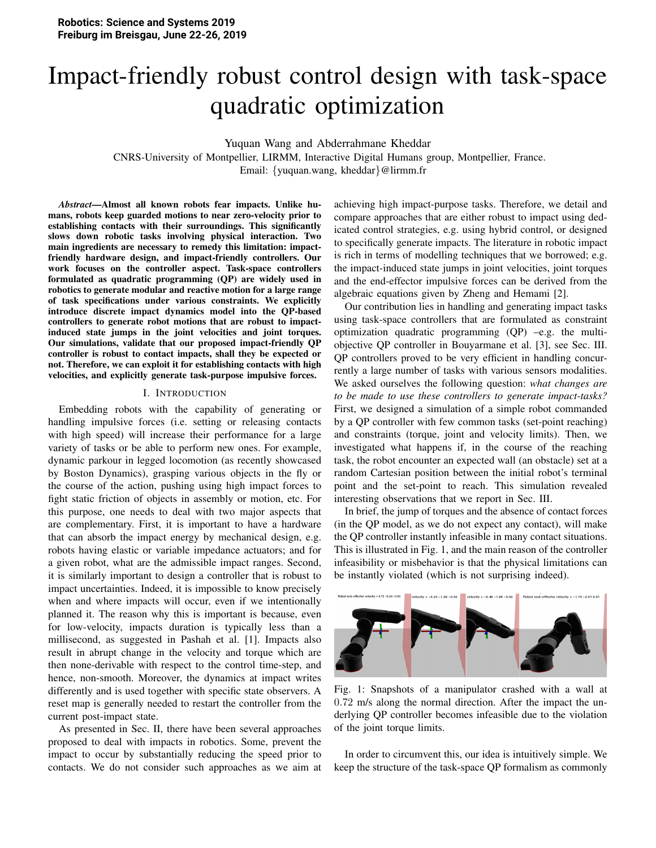# Impact-friendly robust control design with task-space quadratic optimization

Yuquan Wang and Abderrahmane Kheddar

CNRS-University of Montpellier, LIRMM, Interactive Digital Humans group, Montpellier, France. Email: {yuquan.wang, kheddar}@lirmm.fr

*Abstract*—Almost all known robots fear impacts. Unlike humans, robots keep guarded motions to near zero-velocity prior to establishing contacts with their surroundings. This significantly slows down robotic tasks involving physical interaction. Two main ingredients are necessary to remedy this limitation: impactfriendly hardware design, and impact-friendly controllers. Our work focuses on the controller aspect. Task-space controllers formulated as quadratic programming (QP) are widely used in robotics to generate modular and reactive motion for a large range of task specifications under various constraints. We explicitly introduce discrete impact dynamics model into the QP-based controllers to generate robot motions that are robust to impactinduced state jumps in the joint velocities and joint torques. Our simulations, validate that our proposed impact-friendly QP controller is robust to contact impacts, shall they be expected or not. Therefore, we can exploit it for establishing contacts with high velocities, and explicitly generate task-purpose impulsive forces.

# I. INTRODUCTION

Embedding robots with the capability of generating or handling impulsive forces (i.e. setting or releasing contacts with high speed) will increase their performance for a large variety of tasks or be able to perform new ones. For example, dynamic parkour in legged locomotion (as recently showcased by Boston Dynamics), grasping various objects in the fly or the course of the action, pushing using high impact forces to fight static friction of objects in assembly or motion, etc. For this purpose, one needs to deal with two major aspects that are complementary. First, it is important to have a hardware that can absorb the impact energy by mechanical design, e.g. robots having elastic or variable impedance actuators; and for a given robot, what are the admissible impact ranges. Second, it is similarly important to design a controller that is robust to impact uncertainties. Indeed, it is impossible to know precisely when and where impacts will occur, even if we intentionally planned it. The reason why this is important is because, even for low-velocity, impacts duration is typically less than a millisecond, as suggested in Pashah et al. [1]. Impacts also result in abrupt change in the velocity and torque which are then none-derivable with respect to the control time-step, and hence, non-smooth. Moreover, the dynamics at impact writes differently and is used together with specific state observers. A reset map is generally needed to restart the controller from the current post-impact state.

As presented in Sec. II, there have been several approaches proposed to deal with impacts in robotics. Some, prevent the impact to occur by substantially reducing the speed prior to contacts. We do not consider such approaches as we aim at achieving high impact-purpose tasks. Therefore, we detail and compare approaches that are either robust to impact using dedicated control strategies, e.g. using hybrid control, or designed to specifically generate impacts. The literature in robotic impact is rich in terms of modelling techniques that we borrowed; e.g. the impact-induced state jumps in joint velocities, joint torques and the end-effector impulsive forces can be derived from the algebraic equations given by Zheng and Hemami [2].

Our contribution lies in handling and generating impact tasks using task-space controllers that are formulated as constraint optimization quadratic programming  $(QP)$  –e.g. the multiobjective QP controller in Bouyarmane et al. [3], see Sec. III. QP controllers proved to be very efficient in handling concurrently a large number of tasks with various sensors modalities. We asked ourselves the following question: *what changes are to be made to use these controllers to generate impact-tasks?* First, we designed a simulation of a simple robot commanded by a QP controller with few common tasks (set-point reaching) and constraints (torque, joint and velocity limits). Then, we investigated what happens if, in the course of the reaching task, the robot encounter an expected wall (an obstacle) set at a random Cartesian position between the initial robot's terminal point and the set-point to reach. This simulation revealed interesting observations that we report in Sec. III.

In brief, the jump of torques and the absence of contact forces (in the QP model, as we do not expect any contact), will make the QP controller instantly infeasible in many contact situations. This is illustrated in Fig. 1, and the main reason of the controller infeasibility or misbehavior is that the physical limitations can be instantly violated (which is not surprising indeed).



Fig. 1: Snapshots of a manipulator crashed with a wall at 0.72 m/s along the normal direction. After the impact the underlying QP controller becomes infeasible due to the violation of the joint torque limits.

In order to circumvent this, our idea is intuitively simple. We keep the structure of the task-space QP formalism as commonly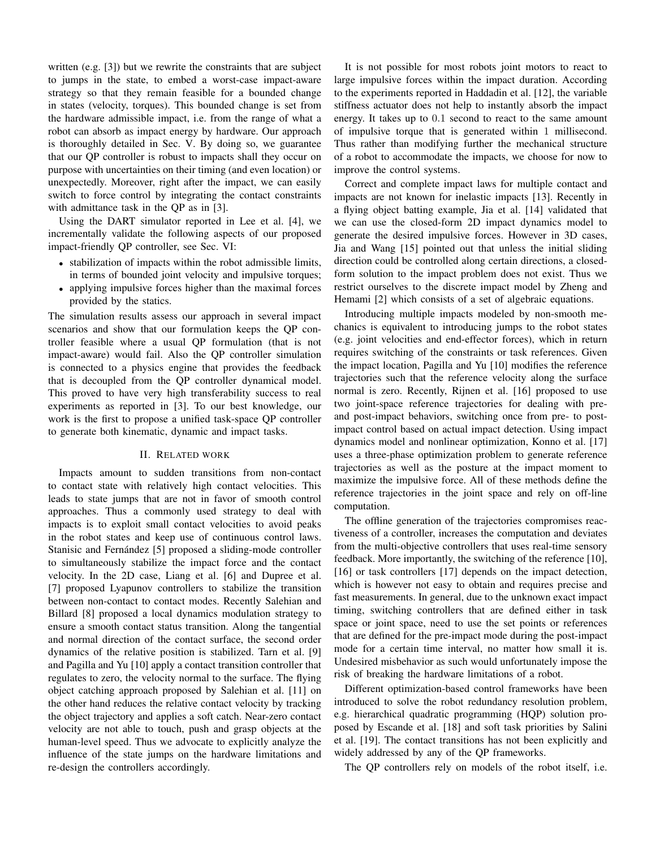written  $(e.g. [3])$  but we rewrite the constraints that are subject to jumps in the state, to embed a worst-case impact-aware strategy so that they remain feasible for a bounded change in states (velocity, torques). This bounded change is set from the hardware admissible impact, i.e. from the range of what a robot can absorb as impact energy by hardware. Our approach is thoroughly detailed in Sec. V. By doing so, we guarantee that our QP controller is robust to impacts shall they occur on purpose with uncertainties on their timing (and even location) or unexpectedly. Moreover, right after the impact, we can easily switch to force control by integrating the contact constraints with admittance task in the QP as in [3].

Using the DART simulator reported in Lee et al. [4], we incrementally validate the following aspects of our proposed impact-friendly QP controller, see Sec. VI:

- stabilization of impacts within the robot admissible limits, in terms of bounded joint velocity and impulsive torques;
- applying impulsive forces higher than the maximal forces provided by the statics.

The simulation results assess our approach in several impact scenarios and show that our formulation keeps the QP controller feasible where a usual QP formulation (that is not impact-aware) would fail. Also the OP controller simulation is connected to a physics engine that provides the feedback that is decoupled from the QP controller dynamical model. This proved to have very high transferability success to real experiments as reported in [3]. To our best knowledge, our work is the first to propose a unified task-space QP controller to generate both kinematic, dynamic and impact tasks.

## **II. RELATED WORK**

Impacts amount to sudden transitions from non-contact to contact state with relatively high contact velocities. This leads to state jumps that are not in favor of smooth control approaches. Thus a commonly used strategy to deal with impacts is to exploit small contact velocities to avoid peaks in the robot states and keep use of continuous control laws. Stanisic and Fernández [5] proposed a sliding-mode controller to simultaneously stabilize the impact force and the contact velocity. In the 2D case, Liang et al. [6] and Dupree et al. [7] proposed Lyapunov controllers to stabilize the transition between non-contact to contact modes. Recently Salehian and Billard [8] proposed a local dynamics modulation strategy to ensure a smooth contact status transition. Along the tangential and normal direction of the contact surface, the second order dynamics of the relative position is stabilized. Tarn et al. [9] and Pagilla and Yu [10] apply a contact transition controller that regulates to zero, the velocity normal to the surface. The flying object catching approach proposed by Salehian et al. [11] on the other hand reduces the relative contact velocity by tracking the object trajectory and applies a soft catch. Near-zero contact velocity are not able to touch, push and grasp objects at the human-level speed. Thus we advocate to explicitly analyze the influence of the state jumps on the hardware limitations and re-design the controllers accordingly.

It is not possible for most robots joint motors to react to large impulsive forces within the impact duration. According to the experiments reported in Haddadin et al. [12], the variable stiffness actuator does not help to instantly absorb the impact energy. It takes up to 0.1 second to react to the same amount of impulsive torque that is generated within 1 millisecond. Thus rather than modifying further the mechanical structure of a robot to accommodate the impacts, we choose for now to improve the control systems.

Correct and complete impact laws for multiple contact and impacts are not known for inelastic impacts [13]. Recently in a flying object batting example, Jia et al. [14] validated that we can use the closed-form 2D impact dynamics model to generate the desired impulsive forces. However in 3D cases, Jia and Wang [15] pointed out that unless the initial sliding direction could be controlled along certain directions, a closedform solution to the impact problem does not exist. Thus we restrict ourselves to the discrete impact model by Zheng and Hemami [2] which consists of a set of algebraic equations.

Introducing multiple impacts modeled by non-smooth mechanics is equivalent to introducing jumps to the robot states (e.g. joint velocities and end-effector forces), which in return requires switching of the constraints or task references. Given the impact location, Pagilla and Yu [10] modifies the reference trajectories such that the reference velocity along the surface normal is zero. Recently, Rijnen et al. [16] proposed to use two joint-space reference trajectories for dealing with preand post-impact behaviors, switching once from pre- to postimpact control based on actual impact detection. Using impact dynamics model and nonlinear optimization, Konno et al. [17] uses a three-phase optimization problem to generate reference trajectories as well as the posture at the impact moment to maximize the impulsive force. All of these methods define the reference trajectories in the joint space and rely on off-line computation.

The offline generation of the trajectories compromises reactiveness of a controller, increases the computation and deviates from the multi-objective controllers that uses real-time sensory feedback. More importantly, the switching of the reference [10], [16] or task controllers [17] depends on the impact detection, which is however not easy to obtain and requires precise and fast measurements. In general, due to the unknown exact impact timing, switching controllers that are defined either in task space or joint space, need to use the set points or references that are defined for the pre-impact mode during the post-impact mode for a certain time interval, no matter how small it is. Undesired misbehavior as such would unfortunately impose the risk of breaking the hardware limitations of a robot.

Different optimization-based control frameworks have been introduced to solve the robot redundancy resolution problem, e.g. hierarchical quadratic programming (HQP) solution proposed by Escande et al. [18] and soft task priorities by Salini et al. [19]. The contact transitions has not been explicitly and widely addressed by any of the QP frameworks.

The QP controllers rely on models of the robot itself, i.e.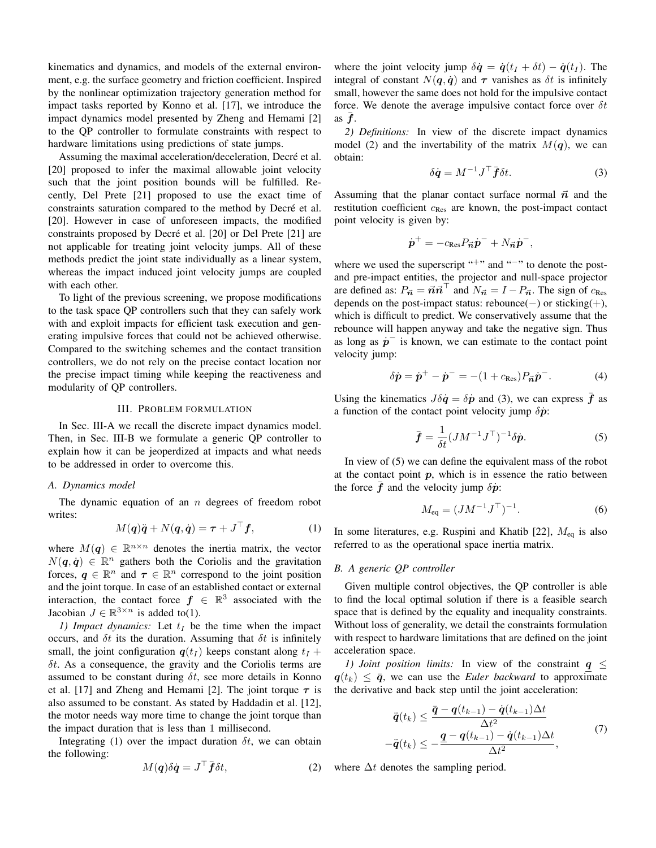kinematics and dynamics, and models of the external environment, e.g. the surface geometry and friction coefficient. Inspired by the nonlinear optimization trajectory generation method for impact tasks reported by Konno et al. [17], we introduce the impact dynamics model presented by Zheng and Hemami [2] to the QP controller to formulate constraints with respect to hardware limitations using predictions of state jumps.

Assuming the maximal acceleration/deceleration, Decré et al. [20] proposed to infer the maximal allowable joint velocity such that the joint position bounds will be fulfilled. Recently, Del Prete [21] proposed to use the exact time of constraints saturation compared to the method by Decré et al. [20]. However in case of unforeseen impacts, the modified constraints proposed by Decré et al. [20] or Del Prete [21] are not applicable for treating joint velocity jumps. All of these methods predict the joint state individually as a linear system, whereas the impact induced joint velocity jumps are coupled with each other.

To light of the previous screening, we propose modifications to the task space QP controllers such that they can safely work with and exploit impacts for efficient task execution and generating impulsive forces that could not be achieved otherwise. Compared to the switching schemes and the contact transition controllers, we do not rely on the precise contact location nor the precise impact timing while keeping the reactiveness and modularity of QP controllers.

#### **III. PROBLEM FORMULATION**

In Sec. III-A we recall the discrete impact dynamics model. Then, in Sec. III-B we formulate a generic OP controller to explain how it can be jeoperdized at impacts and what needs to be addressed in order to overcome this.

#### A. Dynamics model

The dynamic equation of an  $n$  degrees of freedom robot writes:

$$
M(q)\ddot{q} + N(q, \dot{q}) = \tau + J^{\dagger} f, \tag{1}
$$

where  $M(q) \in \mathbb{R}^{n \times n}$  denotes the inertia matrix, the vector  $N(q, \dot{q}) \in \mathbb{R}^n$  gathers both the Coriolis and the gravitation forces,  $q \in \mathbb{R}^n$  and  $\tau \in \mathbb{R}^n$  correspond to the joint position and the joint torque. In case of an established contact or external interaction, the contact force  $f \in \mathbb{R}^3$  associated with the Jacobian  $J \in \mathbb{R}^{3 \times n}$  is added to(1).

1) Impact dynamics: Let  $t_I$  be the time when the impact occurs, and  $\delta t$  its the duration. Assuming that  $\delta t$  is infinitely small, the joint configuration  $q(t_I)$  keeps constant along  $t_I$  +  $\delta t$ . As a consequence, the gravity and the Coriolis terms are assumed to be constant during  $\delta t$ , see more details in Konno et al. [17] and Zheng and Hemami [2]. The joint torque  $\tau$  is also assumed to be constant. As stated by Haddadin et al. [12], the motor needs way more time to change the joint torque than the impact duration that is less than 1 millisecond.

Integrating (1) over the impact duration  $\delta t$ , we can obtain the following:

$$
M(\boldsymbol{q})\delta\dot{\boldsymbol{q}} = J^{\top}\bar{\boldsymbol{f}}\delta t,\tag{2}
$$

where the joint velocity jump  $\delta \dot{q} = \dot{q}(t_I + \delta t) - \dot{q}(t_I)$ . The integral of constant  $N(q, \dot{q})$  and  $\tau$  vanishes as  $\delta t$  is infinitely small, however the same does not hold for the impulsive contact force. We denote the average impulsive contact force over  $\delta t$ as  $f$ .

2) Definitions: In view of the discrete impact dynamics model (2) and the invertability of the matrix  $M(q)$ , we can obtain:

$$
\delta \dot{\mathbf{q}} = M^{-1} J^\top \bar{\mathbf{f}} \delta t. \tag{3}
$$

Assuming that the planar contact surface normal  $\vec{n}$  and the restitution coefficient  $c_{\text{Res}}$  are known, the post-impact contact point velocity is given by:

$$
\dot{\boldsymbol{p}}^+ = -c_{\text{Res}} P_{\vec{n}} \dot{\boldsymbol{p}}^- + N_{\vec{n}} \dot{\boldsymbol{p}}^-,
$$

where we used the superscript "+" and "-" to denote the postand pre-impact entities, the projector and null-space projector are defined as:  $P_{\vec{n}} = \vec{n}\vec{n}^{\text{T}}$  and  $N_{\vec{n}} = I - P_{\vec{n}}$ . The sign of  $c_{\text{Res}}$ depends on the post-impact status: rebounce( $-)$  or sticking( $+)$ , which is difficult to predict. We conservatively assume that the rebounce will happen anyway and take the negative sign. Thus as long as  $\dot{p}$  is known, we can estimate to the contact point velocity jump:

$$
\delta \dot{\mathbf{p}} = \dot{\mathbf{p}}^{+} - \dot{\mathbf{p}}^{-} = -(1 + c_{\text{Res}}) P_{\vec{\mathbf{n}}} \dot{\mathbf{p}}^{-}.
$$
 (4)

Using the kinematics  $J\delta \dot{q} = \delta \dot{p}$  and (3), we can express f as a function of the contact point velocity jump  $\delta \dot{p}$ :

$$
\bar{\boldsymbol{f}} = \frac{1}{\delta t} (J M^{-1} J^{\top})^{-1} \delta \dot{\boldsymbol{p}}.
$$
 (5)

In view of  $(5)$  we can define the equivalent mass of the robot at the contact point  $p$ , which is in essence the ratio between the force  $\vec{f}$  and the velocity jump  $\delta \vec{p}$ :

$$
M_{\text{eq}} = (J M^{-1} J^{\top})^{-1}.
$$
 (6)

In some literatures, e.g. Ruspini and Khatib [22],  $M_{eq}$  is also referred to as the operational space inertia matrix.

## B. A generic OP controller

Given multiple control objectives, the QP controller is able to find the local optimal solution if there is a feasible search space that is defined by the equality and inequality constraints. Without loss of generality, we detail the constraints formulation with respect to hardware limitations that are defined on the joint acceleration space.

1) Joint position limits: In view of the constraint  $q \leq$  $q(t_k) \leq \bar{q}$ , we can use the *Euler backward* to approximate the derivative and back step until the joint acceleration:

$$
\ddot{\boldsymbol{q}}(t_k) \leq \frac{\bar{\boldsymbol{q}} - \boldsymbol{q}(t_{k-1}) - \dot{\boldsymbol{q}}(t_{k-1})\Delta t}{\Delta t^2} \n-\ddot{\boldsymbol{q}}(t_k) \leq -\frac{\underline{\boldsymbol{q}} - \boldsymbol{q}(t_{k-1}) - \dot{\boldsymbol{q}}(t_{k-1})\Delta t}{\Delta t^2},
$$
\n(7)

where  $\Delta t$  denotes the sampling period.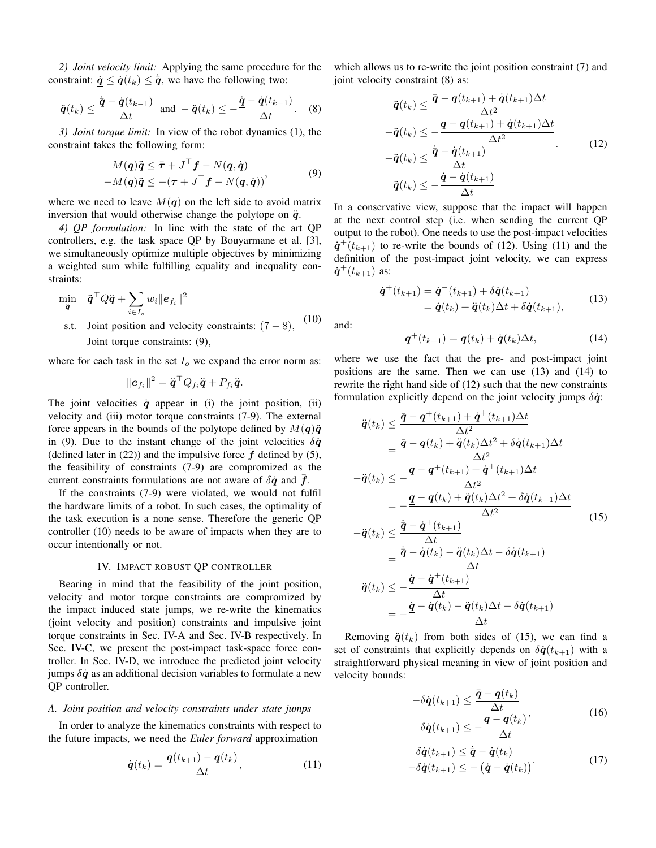2) *Joint velocity limit:* Applying the same procedure for the constraint:  $\dot{q} \leq \dot{q}(t_k) \leq \dot{\overline{q}}$ , we have the following two:

$$
\ddot{\boldsymbol{q}}(t_k) \leq \frac{\dot{\boldsymbol{q}} - \dot{\boldsymbol{q}}(t_{k-1})}{\Delta t}
$$
 and  $-\ddot{\boldsymbol{q}}(t_k) \leq -\frac{\dot{\boldsymbol{q}} - \dot{\boldsymbol{q}}(t_{k-1})}{\Delta t}$ . (8)

3) Joint torque limit: In view of the robot dynamics (1), the constraint takes the following form:

$$
M(q)\ddot{q} \leq \bar{\tau} + J^{\top}f - N(q, \dot{q})
$$
  
-M(q)\ddot{q} \leq -(\underline{\tau} + J^{\top}f - N(q, \dot{q}))' (9)

where we need to leave  $M(q)$  on the left side to avoid matrix inversion that would otherwise change the polytope on  $\ddot{q}$ .

4) QP formulation: In line with the state of the art QP controllers, e.g. the task space QP by Bouyarmane et al. [3], we simultaneously optimize multiple objectives by minimizing a weighted sum while fulfilling equality and inequality constraints:

$$
\min_{\ddot{q}} \quad \ddot{q}^{\top} Q \ddot{q} + \sum_{i \in I_o} w_i \|e_{f_i}\|^2
$$
\nst– Ioint position and velocity constraints:

s.t. Joint position and velocity constraints:  $(7-8)$ ,  $(10)$ Joint torque constraints: (9).

where for each task in the set  $I_0$  we expand the error norm as:

$$
\|\boldsymbol{e}_{f_i}\|^2=\ddot{\boldsymbol{q}}^\top Q_{f_i}\ddot{\boldsymbol{q}}+P_{f_i}\ddot{\boldsymbol{q}}.
$$

The joint velocities  $\dot{q}$  appear in (i) the joint position, (ii) velocity and (iii) motor torque constraints (7-9). The external force appears in the bounds of the polytope defined by  $M(q)\ddot{q}$ in (9). Due to the instant change of the joint velocities  $\delta \dot{q}$ (defined later in  $(22)$ ) and the impulsive force  $f$  defined by (5), the feasibility of constraints (7-9) are compromized as the current constraints formulations are not aware of  $\delta \dot{q}$  and  $\dot{f}$ .

If the constraints (7-9) were violated, we would not fulfil the hardware limits of a robot. In such cases, the optimality of the task execution is a none sense. Therefore the generic QP controller (10) needs to be aware of impacts when they are to occur intentionally or not.

# IV. IMPACT ROBUST QP CONTROLLER

Bearing in mind that the feasibility of the joint position, velocity and motor torque constraints are compromized by the impact induced state jumps, we re-write the kinematics (joint velocity and position) constraints and impulsive joint torque constraints in Sec. IV-A and Sec. IV-B respectively. In Sec. IV-C, we present the post-impact task-space force controller. In Sec. IV-D, we introduce the predicted joint velocity jumps  $\delta \dot{q}$  as an additional decision variables to formulate a new OP controller.

## A. Joint position and velocity constraints under state jumps

In order to analyze the kinematics constraints with respect to the future impacts, we need the *Euler forward* approximation

$$
\dot{\boldsymbol{q}}(t_k) = \frac{\boldsymbol{q}(t_{k+1}) - \boldsymbol{q}(t_k)}{\Delta t},\tag{11}
$$

which allows us to re-write the joint position constraint (7) and joint velocity constraint (8) as:

$$
\ddot{q}(t_k) \leq \frac{\bar{q} - q(t_{k+1}) + \dot{q}(t_{k+1})\Delta t}{\Delta t^2} \n-\ddot{q}(t_k) \leq \frac{q - q(t_{k+1}) + \dot{q}(t_{k+1})\Delta t}{\Delta t^2} \n-\ddot{q}(t_k) \leq \frac{\dot{\bar{q}} - \dot{q}(t_{k+1})}{\Delta t} \n\ddot{q}(t_k) \leq -\frac{\dot{q} - \dot{q}(t_{k+1})}{\Delta t}
$$
\n(12)

In a conservative view, suppose that the impact will happen at the next control step (i.e. when sending the current OP output to the robot). One needs to use the post-impact velocities  $\dot{q}^+(t_{k+1})$  to re-write the bounds of (12). Using (11) and the definition of the post-impact joint velocity, we can express  $\dot{q}^+(t_{k+1})$  as:

$$
\dot{\mathbf{q}}^{+}(t_{k+1}) = \dot{\mathbf{q}}^{-}(t_{k+1}) + \delta \dot{\mathbf{q}}(t_{k+1}) \n= \dot{\mathbf{q}}(t_{k}) + \ddot{\mathbf{q}}(t_{k})\Delta t + \delta \dot{\mathbf{q}}(t_{k+1}),
$$
\n(13)

and:

$$
\boldsymbol{q}^+(t_{k+1}) = \boldsymbol{q}(t_k) + \dot{\boldsymbol{q}}(t_k)\Delta t,\tag{14}
$$

where we use the fact that the pre- and post-impact joint positions are the same. Then we can use (13) and (14) to rewrite the right hand side of (12) such that the new constraints formulation explicitly depend on the joint velocity jumps  $\delta \dot{q}$ .

$$
\ddot{q}(t_k) \leq \frac{\bar{q} - q^+(t_{k+1}) + \dot{q}^+(t_{k+1})\Delta t}{\Delta t^2}
$$
\n
$$
= \frac{\bar{q} - q(t_k) + \ddot{q}(t_k)\Delta t^2 + \delta \dot{q}(t_{k+1})\Delta t}{\Delta t^2}
$$
\n
$$
-\ddot{q}(t_k) \leq -\frac{\underline{q} - q^+(t_{k+1}) + \dot{q}^+(t_{k+1})\Delta t}{\Delta t^2}
$$
\n
$$
= -\frac{\underline{q} - q(t_k) + \ddot{q}(t_k)\Delta t^2 + \delta \dot{q}(t_{k+1})\Delta t}{\Delta t^2}
$$
\n
$$
-\ddot{q}(t_k) \leq \frac{\ddot{q} - \dot{q}^+(t_{k+1})}{\Delta t}
$$
\n
$$
= \frac{\dot{\bar{q}} - \dot{q}(t_k) - \ddot{q}(t_k)\Delta t - \delta \dot{q}(t_{k+1})}{\Delta t}
$$
\n
$$
\ddot{q}(t_k) \leq -\frac{\dot{q} - \dot{q}^+(t_{k+1})}{\Delta t}
$$
\n(15)

$$
\frac{\mathbf{\dot{q}}^{(k)}}{4} = -\frac{\mathbf{\dot{q}} - \dot{\mathbf{q}}(t_k) - \ddot{\mathbf{q}}(t_k)\Delta t - \delta\dot{\mathbf{q}}(t_{k+1})}{\Delta t}
$$

Removing  $\ddot{q}(t_k)$  from both sides of (15), we can find a set of constraints that explicitly depends on  $\delta \dot{q}(t_{k+1})$  with a straightforward physical meaning in view of joint position and velocity bounds:

$$
-\delta \dot{q}(t_{k+1}) \leq \frac{\bar{q} - q(t_k)}{\Delta t}
$$
  

$$
\delta \dot{q}(t_{k+1}) \leq -\frac{\underline{q} - q(t_k)}{\Delta t},
$$
\n(16)

$$
\delta \dot{\boldsymbol{q}}(t_{k+1}) \leq \dot{\boldsymbol{q}} - \dot{\boldsymbol{q}}(t_k) \n-\delta \dot{\boldsymbol{q}}(t_{k+1}) \leq -(\dot{\boldsymbol{q}} - \dot{\boldsymbol{q}}(t_k))
$$
\n(17)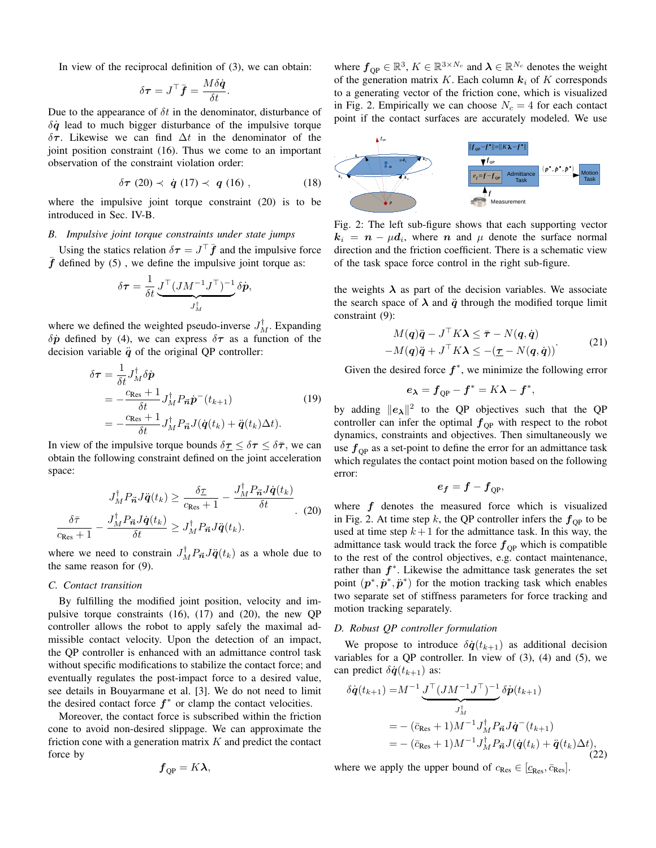In view of the reciprocal definition of  $(3)$ , we can obtain:

$$
\delta \boldsymbol{\tau} = J^{\top} \bar{\boldsymbol{f}} = \frac{M \delta \dot{\boldsymbol{q}}}{\delta t}
$$

Due to the appearance of  $\delta t$  in the denominator, disturbance of  $\delta \dot{q}$  lead to much bigger disturbance of the impulsive torque  $\delta \tau$ . Likewise we can find  $\Delta t$  in the denominator of the joint position constraint (16). Thus we come to an important observation of the constraint violation order:

$$
\delta \tau (20) \prec \dot{q} (17) \prec q (16) , \qquad (18)
$$

where the impulsive joint torque constraint  $(20)$  is to be introduced in Sec. IV-B.

# B. Impulsive joint torque constraints under state jumps

Using the statics relation  $\delta \tau = J^{\top} \bar{f}$  and the impulsive force  $\bar{f}$  defined by (5), we define the impulsive joint torque as:

$$
\delta \boldsymbol{\tau} = \frac{1}{\delta t} \underbrace{J^\top (J M^{-1} J^\top)^{-1}}_{J_M^\dagger} \delta \boldsymbol{\dot{p}}
$$

where we defined the weighted pseudo-inverse  $J_M^{\dagger}$ . Expanding  $\delta \dot{p}$  defined by (4), we can express  $\delta \tau$  as a function of the decision variable  $\ddot{q}$  of the original QP controller:

$$
\delta \boldsymbol{\tau} = \frac{1}{\delta t} J_M^{\dagger} \delta \dot{\boldsymbol{p}} \n= -\frac{c_{\text{Res}} + 1}{\delta t} J_M^{\dagger} P_{\vec{n}} \dot{\boldsymbol{p}}^{-} (t_{k+1}) \n= -\frac{c_{\text{Res}} + 1}{\delta t} J_M^{\dagger} P_{\vec{n}} J(\dot{\boldsymbol{q}}(t_k) + \ddot{\boldsymbol{q}}(t_k) \Delta t).
$$
\n(19)

In view of the impulsive torque bounds  $\delta \tau \leq \delta \tau \leq \delta \bar{\tau}$ , we can obtain the following constraint defined on the joint acceleration space:

$$
J_M^{\dagger} P_{\vec{n}} J \ddot{q}(t_k) \ge \frac{\delta \underline{\tau}}{c_{\text{Res}} + 1} - \frac{J_M^{\dagger} P_{\vec{n}} J \dot{q}(t_k)}{\delta t}
$$
  

$$
\frac{\delta \bar{\tau}}{c_{\text{Res}} + 1} - \frac{J_M^{\dagger} P_{\vec{n}} J \dot{q}(t_k)}{\delta t} \ge J_M^{\dagger} P_{\vec{n}} J \ddot{q}(t_k).
$$
 (20)

where we need to constrain  $J_M^{\dagger} P_{\vec{n}} J\ddot{q}(t_k)$  as a whole due to the same reason for  $(9)$ .

#### C. Contact transition

By fulfilling the modified joint position, velocity and impulsive torque constraints  $(16)$ ,  $(17)$  and  $(20)$ , the new QP controller allows the robot to apply safely the maximal admissible contact velocity. Upon the detection of an impact, the QP controller is enhanced with an admittance control task without specific modifications to stabilize the contact force; and eventually regulates the post-impact force to a desired value, see details in Bouyarmane et al. [3]. We do not need to limit the desired contact force  $f^*$  or clamp the contact velocities.

Moreover, the contact force is subscribed within the friction cone to avoid non-desired slippage. We can approximate the friction cone with a generation matrix  $K$  and predict the contact force by

$$
\boldsymbol{f}_{\mathrm{QP}} = K\boldsymbol{\lambda},
$$

where  $f_{\text{QP}} \in \mathbb{R}^3$ ,  $K \in \mathbb{R}^{3 \times N_c}$  and  $\lambda \in \mathbb{R}^{N_c}$  denotes the weight of the generation matrix K. Each column  $k_i$  of K corresponds to a generating vector of the friction cone, which is visualized in Fig. 2. Empirically we can choose  $N_c = 4$  for each contact point if the contact surfaces are accurately modeled. We use



Fig. 2: The left sub-figure shows that each supporting vector  $k_i = n - \mu d_i$ , where *n* and  $\mu$  denote the surface normal direction and the friction coefficient. There is a schematic view of the task space force control in the right sub-figure.

the weights  $\lambda$  as part of the decision variables. We associate the search space of  $\lambda$  and  $\ddot{q}$  through the modified torque limit constraint (9):

$$
M(q)\ddot{q} - J^{\top}K\lambda \le \bar{\tau} - N(q, \dot{q})
$$
  
-M(q)\ddot{q} + J^{\top}K\lambda \le -(\underline{\tau} - N(q, \dot{q})) (21)

Given the desired force  $f^*$ , we minimize the following error

$$
e_{\lambda}=f_{QP}-f^*=K\lambda-f^*,
$$

by adding  $||e_{\lambda}||^2$  to the QP objectives such that the QP controller can infer the optimal  $f_{OP}$  with respect to the robot dynamics, constraints and objectives. Then simultaneously we use  $f_{OP}$  as a set-point to define the error for an admittance task which regulates the contact point motion based on the following error:

$$
e_f=f-f_{\rm OP},
$$

where  $f$  denotes the measured force which is visualized in Fig. 2. At time step k, the QP controller infers the  $f_{OP}$  to be used at time step  $k+1$  for the admittance task. In this way, the admittance task would track the force  $f_{OP}$  which is compatible to the rest of the control objectives, e.g. contact maintenance, rather than  $f^*$ . Likewise the admittance task generates the set point  $(p^*, \dot{p}^*, \ddot{p}^*)$  for the motion tracking task which enables two separate set of stiffness parameters for force tracking and motion tracking separately.

# D. Robust QP controller formulation

We propose to introduce  $\delta \dot{q}(t_{k+1})$  as additional decision variables for a QP controller. In view of  $(3)$ ,  $(4)$  and  $(5)$ , we can predict  $\delta \dot{q}(t_{k+1})$  as:

$$
\delta \dot{\boldsymbol{q}}(t_{k+1}) = M^{-1} \underbrace{J^{\top} (J M^{-1} J^{\top})^{-1}}_{J_M^{\dagger}} \delta \dot{\boldsymbol{p}}(t_{k+1})
$$
\n
$$
= - (\bar{c}_{\text{Res}} + 1) M^{-1} J_M^{\dagger} P_{\vec{n}} J \dot{\boldsymbol{q}}^{-}(t_{k+1})
$$
\n
$$
= - (\bar{c}_{\text{Res}} + 1) M^{-1} J_M^{\dagger} P_{\vec{n}} J(\dot{\boldsymbol{q}}(t_k) + \ddot{\boldsymbol{q}}(t_k) \Delta t),
$$
\n(22)

where we apply the upper bound of  $c_{\text{Res}} \in [\underline{c}_{\text{Res}}, \overline{c}_{\text{Res}}].$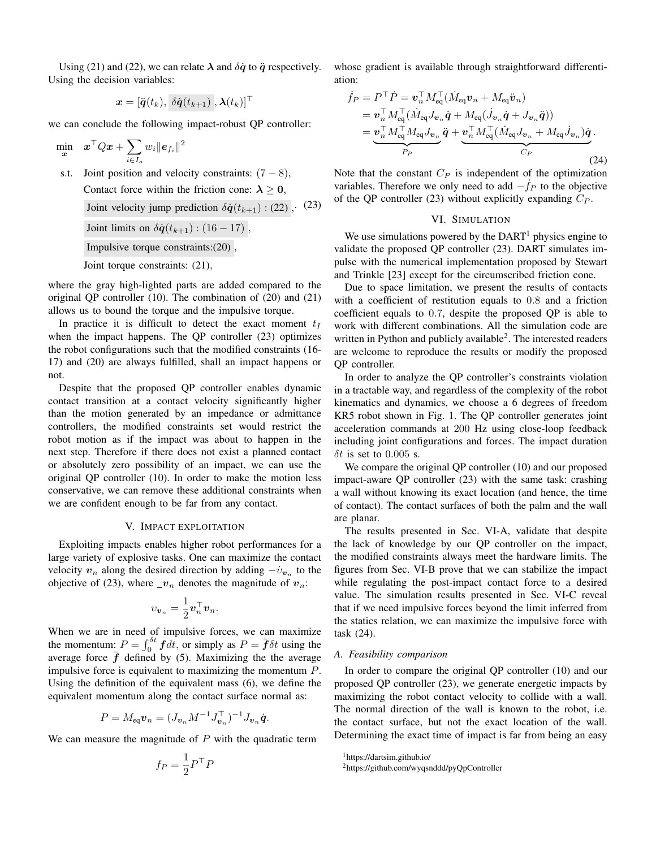Using (21) and (22), we can relate  $\lambda$  and  $\delta \dot{q}$  to  $\ddot{q}$  respectively. Using the decision variables:

$$
\boldsymbol{x} = [\ddot{\boldsymbol{q}}(t_k), \ \delta\dot{\boldsymbol{q}}(t_{k+1}) \ , \boldsymbol{\lambda}(t_k)]^\top
$$

we can conclude the following impact-robust QP controller:

$$
\min_{\bm{x}} \quad \bm{x}^\top Q \bm{x} + \sum_{i \in I_o} w_i \| \bm{e}_{f_i} \|^2
$$

s.t. Joint position and velocity constraints:  $(7-8)$ , Contact force within the friction cone:  $\lambda > 0$ , Joint velocity jump prediction  $\delta \dot{q}(t_{k+1})$ : (22), (23) Joint limits on  $\delta \dot{q}(t_{k+1})$ : (16 – 17), Impulsive torque constraints: $(20)$ ,

Joint torque constraints: (21),

where the gray high-lighted parts are added compared to the original QP controller  $(10)$ . The combination of  $(20)$  and  $(21)$ allows us to bound the torque and the impulsive torque.

In practice it is difficult to detect the exact moment  $t_I$ when the impact happens. The OP controller  $(23)$  optimizes the robot configurations such that the modified constraints (16-17) and (20) are always fulfilled, shall an impact happens or not.

Despite that the proposed QP controller enables dynamic contact transition at a contact velocity significantly higher than the motion generated by an impedance or admittance controllers, the modified constraints set would restrict the robot motion as if the impact was about to happen in the next step. Therefore if there does not exist a planned contact or absolutely zero possibility of an impact, we can use the original QP controller (10). In order to make the motion less conservative, we can remove these additional constraints when we are confident enough to be far from any contact.

## V. IMPACT EXPLOITATION

Exploiting impacts enables higher robot performances for a large variety of explosive tasks. One can maximize the contact velocity  $v_n$  along the desired direction by adding  $-v_{v_n}$  to the objective of (23), where  $\mathbf{v}_n$  denotes the magnitude of  $\mathbf{v}_n$ :

$$
v_{\boldsymbol{v}_n} = \frac{1}{2} \boldsymbol{v}_n^\top \boldsymbol{v}_n.
$$

When we are in need of impulsive forces, we can maximize the momentum:  $P = \int_0^{\delta t} f dt$ , or simply as  $P = \bar{f} \delta t$  using the average force  $\bar{f}$  defined by (5). Maximizing the the average impulsive force is equivalent to maximizing the momentum  $P$ . Using the definition of the equivalent mass  $(6)$ , we define the equivalent momentum along the contact surface normal as:

$$
P = M_{\rm eq} \boldsymbol{v}_n = (J_{\boldsymbol{v}_n} M^{-1} J_{\boldsymbol{v}_n}^\top)^{-1} J_{\boldsymbol{v}_n} \dot{\boldsymbol{q}}
$$

We can measure the magnitude of  $P$  with the quadratic term

$$
f_P = \frac{1}{2} P^\top P
$$

whose gradient is available through straightforward differentiation:

$$
\dot{f}_P = P^\top \dot{P} = \mathbf{v}_n^\top M_{\text{eq}}^\top (\dot{M}_{\text{eq}} \mathbf{v}_n + M_{\text{eq}} \ddot{\mathbf{v}}_n)
$$
  
\n
$$
= \mathbf{v}_n^\top M_{\text{eq}}^\top (\dot{M}_{\text{eq}} J_{\mathbf{v}_n} \dot{\mathbf{q}} + M_{\text{eq}} (\dot{J}_{\mathbf{v}_n} \dot{\mathbf{q}} + J_{\mathbf{v}_n} \ddot{\mathbf{q}}))
$$
  
\n
$$
= \underbrace{\mathbf{v}_n^\top M_{\text{eq}}^\top M_{\text{eq}} J_{\mathbf{v}_n} \ddot{\mathbf{q}} + \underbrace{\mathbf{v}_n^\top M_{\text{eq}}^\top (\dot{M}_{\text{eq}} J_{\mathbf{v}_n} + M_{\text{eq}} \dot{J}_{\mathbf{v}_n}) \dot{\mathbf{q}}}_{C_P}.
$$
\n(24)

Note that the constant  $C_P$  is independent of the optimization variables. Therefore we only need to add  $-f_P$  to the objective of the QP controller (23) without explicitly expanding  $C_P$ .

## VI. SIMULATION

We use simulations powered by the  $DART<sup>1</sup>$  physics engine to validate the proposed QP controller (23). DART simulates impulse with the numerical implementation proposed by Stewart and Trinkle [23] except for the circumscribed friction cone.

Due to space limitation, we present the results of contacts with a coefficient of restitution equals to 0.8 and a friction coefficient equals to 0.7, despite the proposed QP is able to work with different combinations. All the simulation code are written in Python and publicly available<sup>2</sup>. The interested readers are welcome to reproduce the results or modify the proposed QP controller.

In order to analyze the QP controller's constraints violation in a tractable way, and regardless of the complexity of the robot kinematics and dynamics, we choose a 6 degrees of freedom KR5 robot shown in Fig. 1. The QP controller generates joint acceleration commands at 200 Hz using close-loop feedback including joint configurations and forces. The impact duration  $\delta t$  is set to 0.005 s.

We compare the original QP controller  $(10)$  and our proposed impact-aware QP controller (23) with the same task: crashing a wall without knowing its exact location (and hence, the time of contact). The contact surfaces of both the palm and the wall are planar.

The results presented in Sec. VI-A, validate that despite the lack of knowledge by our QP controller on the impact, the modified constraints always meet the hardware limits. The figures from Sec. VI-B prove that we can stabilize the impact while regulating the post-impact contact force to a desired value. The simulation results presented in Sec. VI-C reveal that if we need impulsive forces beyond the limit inferred from the statics relation, we can maximize the impulsive force with task (24).

## A. Feasibility comparison

In order to compare the original QP controller (10) and our proposed QP controller (23), we generate energetic impacts by maximizing the robot contact velocity to collide with a wall. The normal direction of the wall is known to the robot, i.e. the contact surface, but not the exact location of the wall. Determining the exact time of impact is far from being an easy

<sup>&</sup>lt;sup>1</sup>https://dartsim.github.io/

<sup>&</sup>lt;sup>2</sup>https://github.com/wyqsnddd/pyQpController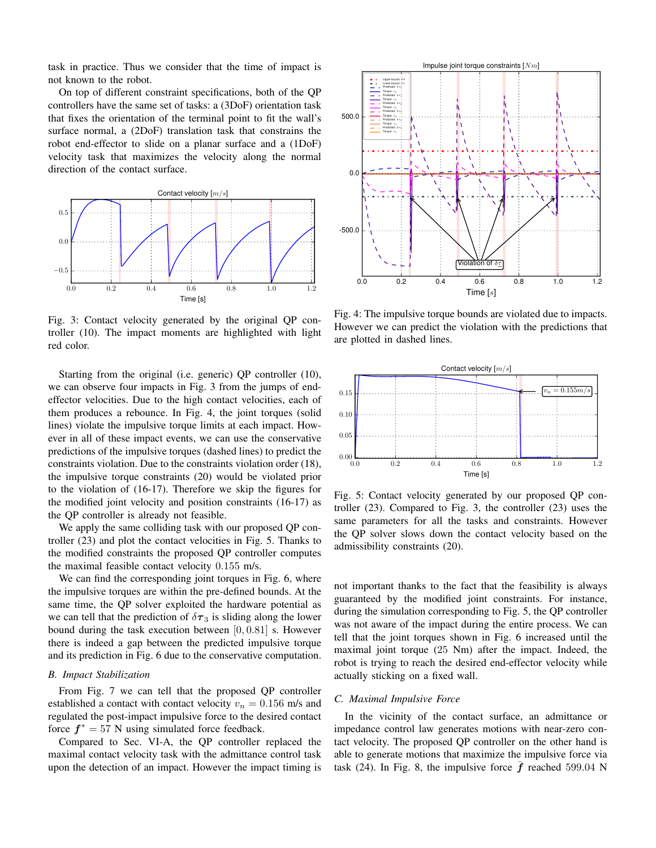task in practice. Thus we consider that the time of impact is not known to the robot.

On top of different constraint specifications, both of the QP controllers have the same set of tasks: a (3DoF) orientation task that fixes the orientation of the terminal point to fit the wall's surface normal, a (2DoF) translation task that constrains the robot end-effector to slide on a planar surface and a (1DoF) velocity task that maximizes the velocity along the normal direction of the contact surface.



Fig. 3: Contact velocity generated by the original QP controller (10). The impact moments are highlighted with light red color.

Starting from the original (i.e. generic) QP controller (10), we can observe four impacts in Fig. 3 from the jumps of endeffector velocities. Due to the high contact velocities, each of them produces a rebounce. In Fig. 4, the joint torques (solid lines) violate the impulsive torque limits at each impact. However in all of these impact events, we can use the conservative predictions of the impulsive torques (dashed lines) to predict the constraints violation. Due to the constraints violation order (18), the impulsive torque constraints (20) would be violated prior to the violation of  $(16-17)$ . Therefore we skip the figures for the modified joint velocity and position constraints (16-17) as the QP controller is already not feasible.

We apply the same colliding task with our proposed QP controller (23) and plot the contact velocities in Fig. 5. Thanks to the modified constraints the proposed QP controller computes the maximal feasible contact velocity 0.155 m/s.

We can find the corresponding joint torques in Fig. 6, where the impulsive torques are within the pre-defined bounds. At the same time, the QP solver exploited the hardware potential as we can tell that the prediction of  $\delta\tau_3$  is sliding along the lower bound during the task execution between  $[0, 0.81]$  s. However there is indeed a gap between the predicted impulsive torque and its prediction in Fig. 6 due to the conservative computation.

#### **B.** Impact Stabilization

From Fig. 7 we can tell that the proposed QP controller established a contact with contact velocity  $v_n = 0.156$  m/s and regulated the post-impact impulsive force to the desired contact force  $f^* = 57$  N using simulated force feedback.

Compared to Sec. VI-A, the QP controller replaced the maximal contact velocity task with the admittance control task upon the detection of an impact. However the impact timing is



Fig. 4: The impulsive torque bounds are violated due to impacts. However we can predict the violation with the predictions that are plotted in dashed lines.



Fig. 5: Contact velocity generated by our proposed QP controller  $(23)$ . Compared to Fig. 3, the controller  $(23)$  uses the same parameters for all the tasks and constraints. However the QP solver slows down the contact velocity based on the admissibility constraints (20).

not important thanks to the fact that the feasibility is always guaranteed by the modified joint constraints. For instance, during the simulation corresponding to Fig. 5, the QP controller was not aware of the impact during the entire process. We can tell that the joint torques shown in Fig. 6 increased until the maximal joint torque (25 Nm) after the impact. Indeed, the robot is trying to reach the desired end-effector velocity while actually sticking on a fixed wall.

# C. Maximal Impulsive Force

In the vicinity of the contact surface, an admittance or impedance control law generates motions with near-zero contact velocity. The proposed QP controller on the other hand is able to generate motions that maximize the impulsive force via task (24). In Fig. 8, the impulsive force  $\bar{f}$  reached 599.04 N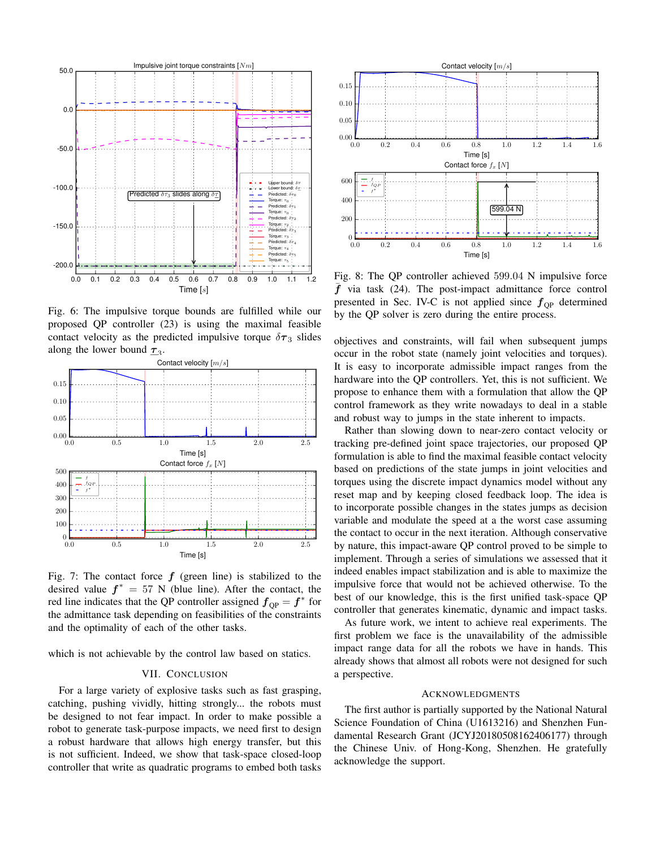

Fig. 6: The impulsive torque bounds are fulfilled while our proposed QP controller (23) is using the maximal feasible contact velocity as the predicted impulsive torque  $\delta\tau_3$  slides along the lower bound  $\tau_3$ .



Fig. 7: The contact force  $f$  (green line) is stabilized to the desired value  $f^* = 57$  N (blue line). After the contact, the red line indicates that the QP controller assigned  $f_{\text{QP}} = f^*$  for the admittance task depending on feasibilities of the constraints and the optimality of each of the other tasks.

which is not achievable by the control law based on statics.

#### VII. CONCLUSION

For a large variety of explosive tasks such as fast grasping. catching, pushing vividly, hitting strongly... the robots must be designed to not fear impact. In order to make possible a robot to generate task-purpose impacts, we need first to design a robust hardware that allows high energy transfer, but this is not sufficient. Indeed, we show that task-space closed-loop controller that write as quadratic programs to embed both tasks



Fig. 8: The QP controller achieved 599.04 N impulsive force  $\bar{f}$  via task (24). The post-impact admittance force control presented in Sec. IV-C is not applied since  $f_{OP}$  determined by the QP solver is zero during the entire process.

objectives and constraints, will fail when subsequent jumps occur in the robot state (namely joint velocities and torques). It is easy to incorporate admissible impact ranges from the hardware into the QP controllers. Yet, this is not sufficient. We propose to enhance them with a formulation that allow the QP control framework as they write nowadays to deal in a stable and robust way to jumps in the state inherent to impacts.

Rather than slowing down to near-zero contact velocity or tracking pre-defined joint space trajectories, our proposed OP formulation is able to find the maximal feasible contact velocity based on predictions of the state jumps in joint velocities and torques using the discrete impact dynamics model without any reset map and by keeping closed feedback loop. The idea is to incorporate possible changes in the states jumps as decision variable and modulate the speed at a the worst case assuming the contact to occur in the next iteration. Although conservative by nature, this impact-aware QP control proved to be simple to implement. Through a series of simulations we assessed that it indeed enables impact stabilization and is able to maximize the impulsive force that would not be achieved otherwise. To the best of our knowledge, this is the first unified task-space QP controller that generates kinematic, dynamic and impact tasks.

As future work, we intent to achieve real experiments. The first problem we face is the unavailability of the admissible impact range data for all the robots we have in hands. This already shows that almost all robots were not designed for such a perspective.

## **ACKNOWLEDGMENTS**

The first author is partially supported by the National Natural Science Foundation of China (U1613216) and Shenzhen Fundamental Research Grant (JCYJ20180508162406177) through the Chinese Univ. of Hong-Kong, Shenzhen. He gratefully acknowledge the support.